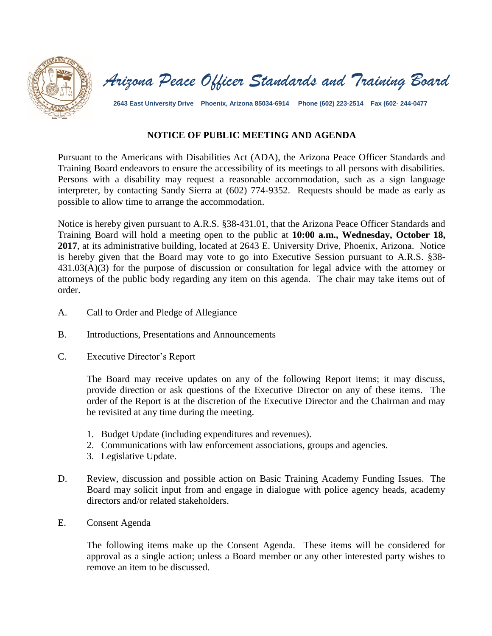



**2643 East University Drive Phoenix, Arizona 85034-6914 Phone (602) 223-2514 Fax (602- 244-0477**

## **NOTICE OF PUBLIC MEETING AND AGENDA**

Pursuant to the Americans with Disabilities Act (ADA), the Arizona Peace Officer Standards and Training Board endeavors to ensure the accessibility of its meetings to all persons with disabilities. Persons with a disability may request a reasonable accommodation, such as a sign language interpreter, by contacting Sandy Sierra at (602) 774-9352. Requests should be made as early as possible to allow time to arrange the accommodation.

Notice is hereby given pursuant to A.R.S. §38-431.01, that the Arizona Peace Officer Standards and Training Board will hold a meeting open to the public at **10:00 a.m., Wednesday, October 18, 2017**, at its administrative building, located at 2643 E. University Drive, Phoenix, Arizona. Notice is hereby given that the Board may vote to go into Executive Session pursuant to A.R.S. §38- 431.03(A)(3) for the purpose of discussion or consultation for legal advice with the attorney or attorneys of the public body regarding any item on this agenda. The chair may take items out of order.

- A. Call to Order and Pledge of Allegiance
- B. Introductions, Presentations and Announcements
- C. Executive Director's Report

The Board may receive updates on any of the following Report items; it may discuss, provide direction or ask questions of the Executive Director on any of these items. The order of the Report is at the discretion of the Executive Director and the Chairman and may be revisited at any time during the meeting.

- 1. Budget Update (including expenditures and revenues).
- 2. Communications with law enforcement associations, groups and agencies.
- 3. Legislative Update.
- D. Review, discussion and possible action on Basic Training Academy Funding Issues. The Board may solicit input from and engage in dialogue with police agency heads, academy directors and/or related stakeholders.
- E. Consent Agenda

The following items make up the Consent Agenda. These items will be considered for approval as a single action; unless a Board member or any other interested party wishes to remove an item to be discussed.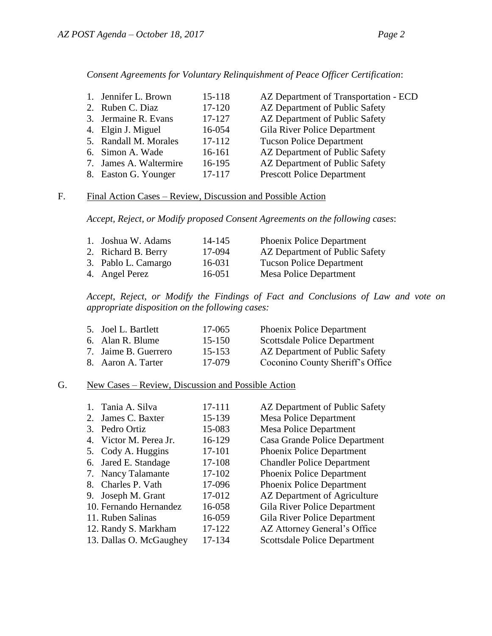| $15 - 118$ | AZ Department of Transportation - ECD |
|------------|---------------------------------------|
| 17-120     | AZ Department of Public Safety        |
| 17-127     | AZ Department of Public Safety        |
| 16-054     | Gila River Police Department          |
| 17-112     | <b>Tucson Police Department</b>       |
| 16-161     | AZ Department of Public Safety        |
| 16-195     | AZ Department of Public Safety        |
| 17-117     | <b>Prescott Police Department</b>     |
|            | 7. James A. Waltermire                |

## *Consent Agreements for Voluntary Relinquishment of Peace Officer Certification*:

## F. Final Action Cases – Review, Discussion and Possible Action

*Accept, Reject, or Modify proposed Consent Agreements on the following cases*:

| 1. Joshua W. Adams  | 14-145 | <b>Phoenix Police Department</b> |
|---------------------|--------|----------------------------------|
| 2. Richard B. Berry | 17-094 | AZ Department of Public Safety   |
| 3. Pablo L. Camargo | 16-031 | <b>Tucson Police Department</b>  |
| 4. Angel Perez      | 16-051 | Mesa Police Department           |
|                     |        |                                  |

*Accept, Reject, or Modify the Findings of Fact and Conclusions of Law and vote on appropriate disposition on the following cases:*

| 17-065                                                                                | <b>Phoenix Police Department</b>    |
|---------------------------------------------------------------------------------------|-------------------------------------|
| $15 - 150$                                                                            | <b>Scottsdale Police Department</b> |
| 15-153                                                                                | AZ Department of Public Safety      |
| 17-079                                                                                | Coconino County Sheriff's Office    |
| 5. Joel L. Bartlett<br>6. Alan R. Blume<br>7. Jaime B. Guerrero<br>8. Aaron A. Tarter |                                     |

## G. New Cases – Review, Discussion and Possible Action

|    | 1. Tania A. Silva       | 17-111 | AZ Department of Public Safety      |
|----|-------------------------|--------|-------------------------------------|
| 2. | James C. Baxter         | 15-139 | <b>Mesa Police Department</b>       |
| 3. | Pedro Ortiz             | 15-083 | <b>Mesa Police Department</b>       |
|    | 4. Victor M. Perea Jr.  | 16-129 | Casa Grande Police Department       |
|    | 5. Cody A. Huggins      | 17-101 | <b>Phoenix Police Department</b>    |
|    | 6. Jared E. Standage    | 17-108 | <b>Chandler Police Department</b>   |
|    | 7. Nancy Talamante      | 17-102 | Phoenix Police Department           |
| 8. | Charles P. Vath         | 17-096 | Phoenix Police Department           |
| 9. | Joseph M. Grant         | 17-012 | AZ Department of Agriculture        |
|    | 10. Fernando Hernandez  | 16-058 | Gila River Police Department        |
|    | 11. Ruben Salinas       | 16-059 | Gila River Police Department        |
|    | 12. Randy S. Markham    | 17-122 | AZ Attorney General's Office        |
|    | 13. Dallas O. McGaughey | 17-134 | <b>Scottsdale Police Department</b> |